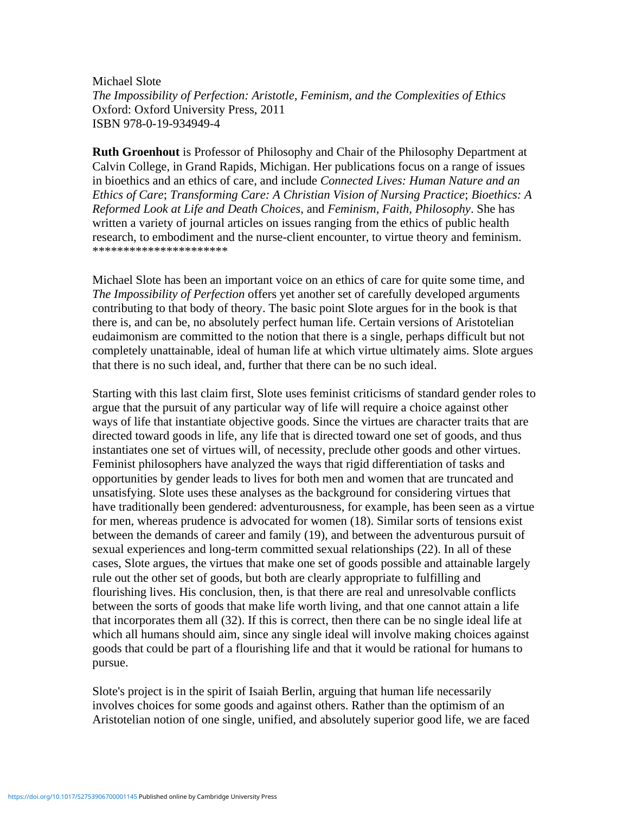Michael Slote *The Impossibility of Perfection: Aristotle, Feminism, and the Complexities of Ethics* Oxford: Oxford University Press, 2011 ISBN 978-0-19-934949-4

**Ruth Groenhout** is Professor of Philosophy and Chair of the Philosophy Department at Calvin College, in Grand Rapids, Michigan. Her publications focus on a range of issues in bioethics and an ethics of care, and include *Connected Lives: Human Nature and an Ethics of Care*; *Transforming Care: A Christian Vision of Nursing Practice*; *Bioethics: A Reformed Look at Life and Death Choices*, and *Feminism, Faith, Philosophy*. She has written a variety of journal articles on issues ranging from the ethics of public health research, to embodiment and the nurse-client encounter, to virtue theory and feminism. \*\*\*\*\*\*\*\*\*\*\*\*\*\*\*\*\*\*\*\*\*\*

Michael Slote has been an important voice on an ethics of care for quite some time, and *The Impossibility of Perfection* offers yet another set of carefully developed arguments contributing to that body of theory. The basic point Slote argues for in the book is that there is, and can be, no absolutely perfect human life. Certain versions of Aristotelian eudaimonism are committed to the notion that there is a single, perhaps difficult but not completely unattainable, ideal of human life at which virtue ultimately aims. Slote argues that there is no such ideal, and, further that there can be no such ideal.

Starting with this last claim first, Slote uses feminist criticisms of standard gender roles to argue that the pursuit of any particular way of life will require a choice against other ways of life that instantiate objective goods. Since the virtues are character traits that are directed toward goods in life, any life that is directed toward one set of goods, and thus instantiates one set of virtues will, of necessity, preclude other goods and other virtues. Feminist philosophers have analyzed the ways that rigid differentiation of tasks and opportunities by gender leads to lives for both men and women that are truncated and unsatisfying. Slote uses these analyses as the background for considering virtues that have traditionally been gendered: adventurousness, for example, has been seen as a virtue for men, whereas prudence is advocated for women (18). Similar sorts of tensions exist between the demands of career and family (19), and between the adventurous pursuit of sexual experiences and long-term committed sexual relationships (22). In all of these cases, Slote argues, the virtues that make one set of goods possible and attainable largely rule out the other set of goods, but both are clearly appropriate to fulfilling and flourishing lives. His conclusion, then, is that there are real and unresolvable conflicts between the sorts of goods that make life worth living, and that one cannot attain a life that incorporates them all (32). If this is correct, then there can be no single ideal life at which all humans should aim, since any single ideal will involve making choices against goods that could be part of a flourishing life and that it would be rational for humans to pursue.

Slote's project is in the spirit of Isaiah Berlin, arguing that human life necessarily involves choices for some goods and against others. Rather than the optimism of an Aristotelian notion of one single, unified, and absolutely superior good life, we are faced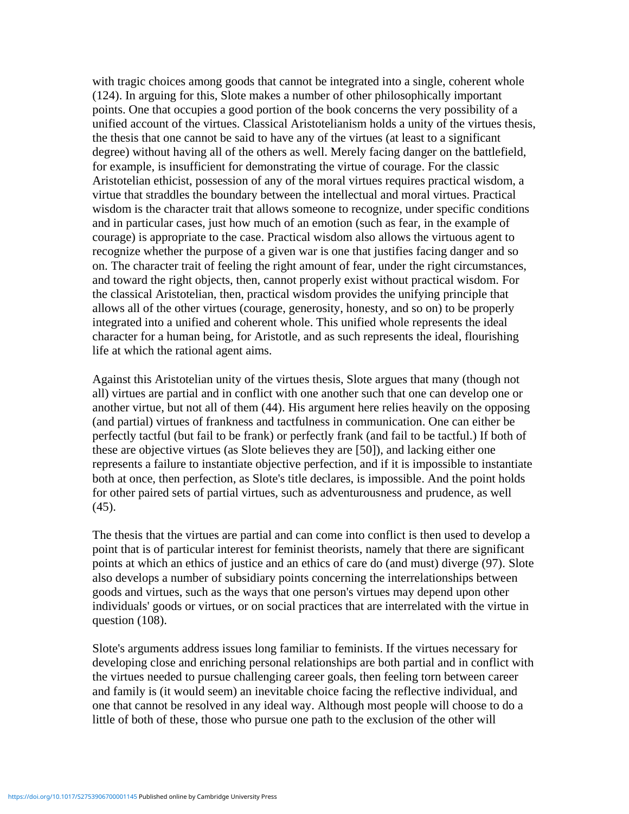with tragic choices among goods that cannot be integrated into a single, coherent whole (124). In arguing for this, Slote makes a number of other philosophically important points. One that occupies a good portion of the book concerns the very possibility of a unified account of the virtues. Classical Aristotelianism holds a unity of the virtues thesis, the thesis that one cannot be said to have any of the virtues (at least to a significant degree) without having all of the others as well. Merely facing danger on the battlefield, for example, is insufficient for demonstrating the virtue of courage. For the classic Aristotelian ethicist, possession of any of the moral virtues requires practical wisdom, a virtue that straddles the boundary between the intellectual and moral virtues. Practical wisdom is the character trait that allows someone to recognize, under specific conditions and in particular cases, just how much of an emotion (such as fear, in the example of courage) is appropriate to the case. Practical wisdom also allows the virtuous agent to recognize whether the purpose of a given war is one that justifies facing danger and so on. The character trait of feeling the right amount of fear, under the right circumstances, and toward the right objects, then, cannot properly exist without practical wisdom. For the classical Aristotelian, then, practical wisdom provides the unifying principle that allows all of the other virtues (courage, generosity, honesty, and so on) to be properly integrated into a unified and coherent whole. This unified whole represents the ideal character for a human being, for Aristotle, and as such represents the ideal, flourishing life at which the rational agent aims.

Against this Aristotelian unity of the virtues thesis, Slote argues that many (though not all) virtues are partial and in conflict with one another such that one can develop one or another virtue, but not all of them (44). His argument here relies heavily on the opposing (and partial) virtues of frankness and tactfulness in communication. One can either be perfectly tactful (but fail to be frank) or perfectly frank (and fail to be tactful.) If both of these are objective virtues (as Slote believes they are [50]), and lacking either one represents a failure to instantiate objective perfection, and if it is impossible to instantiate both at once, then perfection, as Slote's title declares, is impossible. And the point holds for other paired sets of partial virtues, such as adventurousness and prudence, as well (45).

The thesis that the virtues are partial and can come into conflict is then used to develop a point that is of particular interest for feminist theorists, namely that there are significant points at which an ethics of justice and an ethics of care do (and must) diverge (97). Slote also develops a number of subsidiary points concerning the interrelationships between goods and virtues, such as the ways that one person's virtues may depend upon other individuals' goods or virtues, or on social practices that are interrelated with the virtue in question (108).

Slote's arguments address issues long familiar to feminists. If the virtues necessary for developing close and enriching personal relationships are both partial and in conflict with the virtues needed to pursue challenging career goals, then feeling torn between career and family is (it would seem) an inevitable choice facing the reflective individual, and one that cannot be resolved in any ideal way. Although most people will choose to do a little of both of these, those who pursue one path to the exclusion of the other will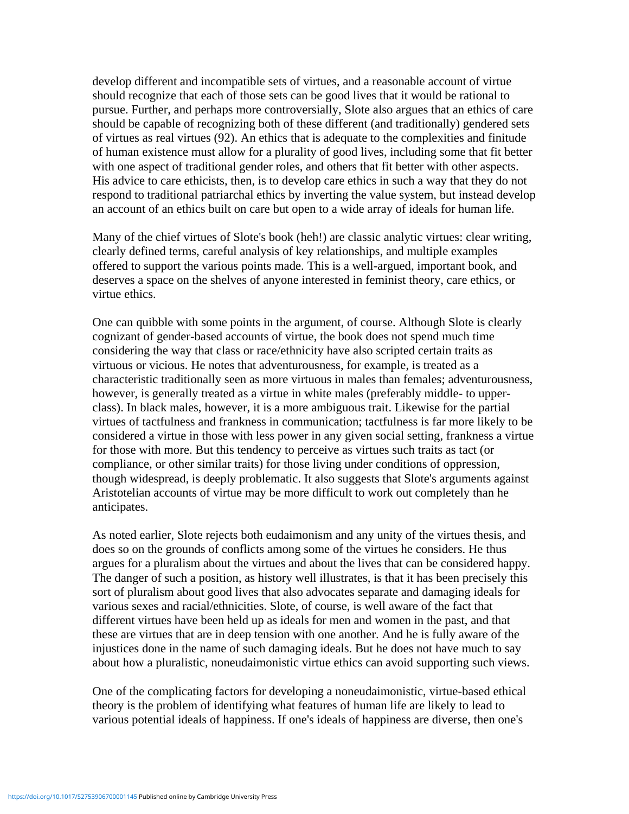develop different and incompatible sets of virtues, and a reasonable account of virtue should recognize that each of those sets can be good lives that it would be rational to pursue. Further, and perhaps more controversially, Slote also argues that an ethics of care should be capable of recognizing both of these different (and traditionally) gendered sets of virtues as real virtues (92). An ethics that is adequate to the complexities and finitude of human existence must allow for a plurality of good lives, including some that fit better with one aspect of traditional gender roles, and others that fit better with other aspects. His advice to care ethicists, then, is to develop care ethics in such a way that they do not respond to traditional patriarchal ethics by inverting the value system, but instead develop an account of an ethics built on care but open to a wide array of ideals for human life.

Many of the chief virtues of Slote's book (heh!) are classic analytic virtues: clear writing, clearly defined terms, careful analysis of key relationships, and multiple examples offered to support the various points made. This is a well-argued, important book, and deserves a space on the shelves of anyone interested in feminist theory, care ethics, or virtue ethics.

One can quibble with some points in the argument, of course. Although Slote is clearly cognizant of gender-based accounts of virtue, the book does not spend much time considering the way that class or race/ethnicity have also scripted certain traits as virtuous or vicious. He notes that adventurousness, for example, is treated as a characteristic traditionally seen as more virtuous in males than females; adventurousness, however, is generally treated as a virtue in white males (preferably middle- to upperclass). In black males, however, it is a more ambiguous trait. Likewise for the partial virtues of tactfulness and frankness in communication; tactfulness is far more likely to be considered a virtue in those with less power in any given social setting, frankness a virtue for those with more. But this tendency to perceive as virtues such traits as tact (or compliance, or other similar traits) for those living under conditions of oppression, though widespread, is deeply problematic. It also suggests that Slote's arguments against Aristotelian accounts of virtue may be more difficult to work out completely than he anticipates.

As noted earlier, Slote rejects both eudaimonism and any unity of the virtues thesis, and does so on the grounds of conflicts among some of the virtues he considers. He thus argues for a pluralism about the virtues and about the lives that can be considered happy. The danger of such a position, as history well illustrates, is that it has been precisely this sort of pluralism about good lives that also advocates separate and damaging ideals for various sexes and racial/ethnicities. Slote, of course, is well aware of the fact that different virtues have been held up as ideals for men and women in the past, and that these are virtues that are in deep tension with one another. And he is fully aware of the injustices done in the name of such damaging ideals. But he does not have much to say about how a pluralistic, noneudaimonistic virtue ethics can avoid supporting such views.

One of the complicating factors for developing a noneudaimonistic, virtue-based ethical theory is the problem of identifying what features of human life are likely to lead to various potential ideals of happiness. If one's ideals of happiness are diverse, then one's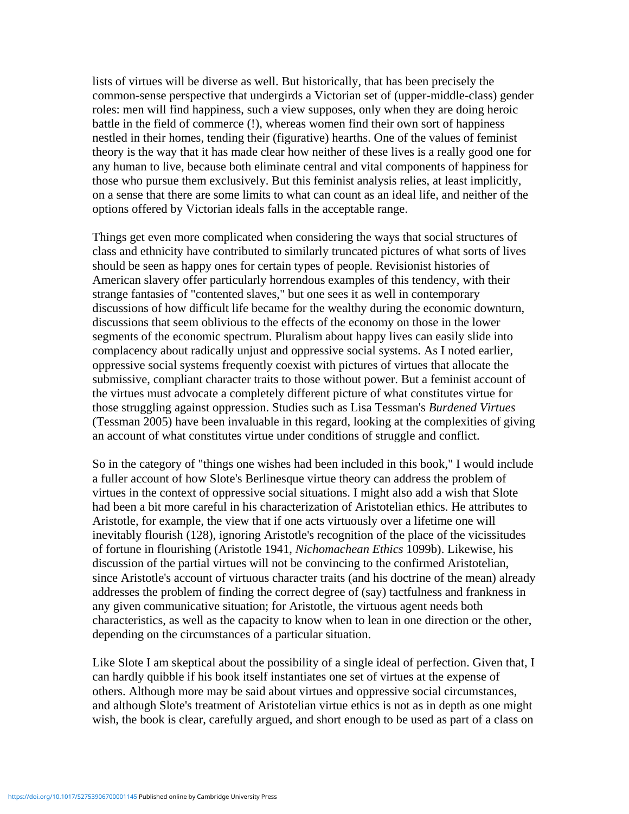lists of virtues will be diverse as well. But historically, that has been precisely the common-sense perspective that undergirds a Victorian set of (upper-middle-class) gender roles: men will find happiness, such a view supposes, only when they are doing heroic battle in the field of commerce (!), whereas women find their own sort of happiness nestled in their homes, tending their (figurative) hearths. One of the values of feminist theory is the way that it has made clear how neither of these lives is a really good one for any human to live, because both eliminate central and vital components of happiness for those who pursue them exclusively. But this feminist analysis relies, at least implicitly, on a sense that there are some limits to what can count as an ideal life, and neither of the options offered by Victorian ideals falls in the acceptable range.

Things get even more complicated when considering the ways that social structures of class and ethnicity have contributed to similarly truncated pictures of what sorts of lives should be seen as happy ones for certain types of people. Revisionist histories of American slavery offer particularly horrendous examples of this tendency, with their strange fantasies of "contented slaves," but one sees it as well in contemporary discussions of how difficult life became for the wealthy during the economic downturn, discussions that seem oblivious to the effects of the economy on those in the lower segments of the economic spectrum. Pluralism about happy lives can easily slide into complacency about radically unjust and oppressive social systems. As I noted earlier, oppressive social systems frequently coexist with pictures of virtues that allocate the submissive, compliant character traits to those without power. But a feminist account of the virtues must advocate a completely different picture of what constitutes virtue for those struggling against oppression. Studies such as Lisa Tessman's *Burdened Virtues* (Tessman 2005) have been invaluable in this regard, looking at the complexities of giving an account of what constitutes virtue under conditions of struggle and conflict.

So in the category of "things one wishes had been included in this book," I would include a fuller account of how Slote's Berlinesque virtue theory can address the problem of virtues in the context of oppressive social situations. I might also add a wish that Slote had been a bit more careful in his characterization of Aristotelian ethics. He attributes to Aristotle, for example, the view that if one acts virtuously over a lifetime one will inevitably flourish (128), ignoring Aristotle's recognition of the place of the vicissitudes of fortune in flourishing (Aristotle 1941, *Nichomachean Ethics* 1099b). Likewise, his discussion of the partial virtues will not be convincing to the confirmed Aristotelian, since Aristotle's account of virtuous character traits (and his doctrine of the mean) already addresses the problem of finding the correct degree of (say) tactfulness and frankness in any given communicative situation; for Aristotle, the virtuous agent needs both characteristics, as well as the capacity to know when to lean in one direction or the other, depending on the circumstances of a particular situation.

Like Slote I am skeptical about the possibility of a single ideal of perfection. Given that, I can hardly quibble if his book itself instantiates one set of virtues at the expense of others. Although more may be said about virtues and oppressive social circumstances, and although Slote's treatment of Aristotelian virtue ethics is not as in depth as one might wish, the book is clear, carefully argued, and short enough to be used as part of a class on